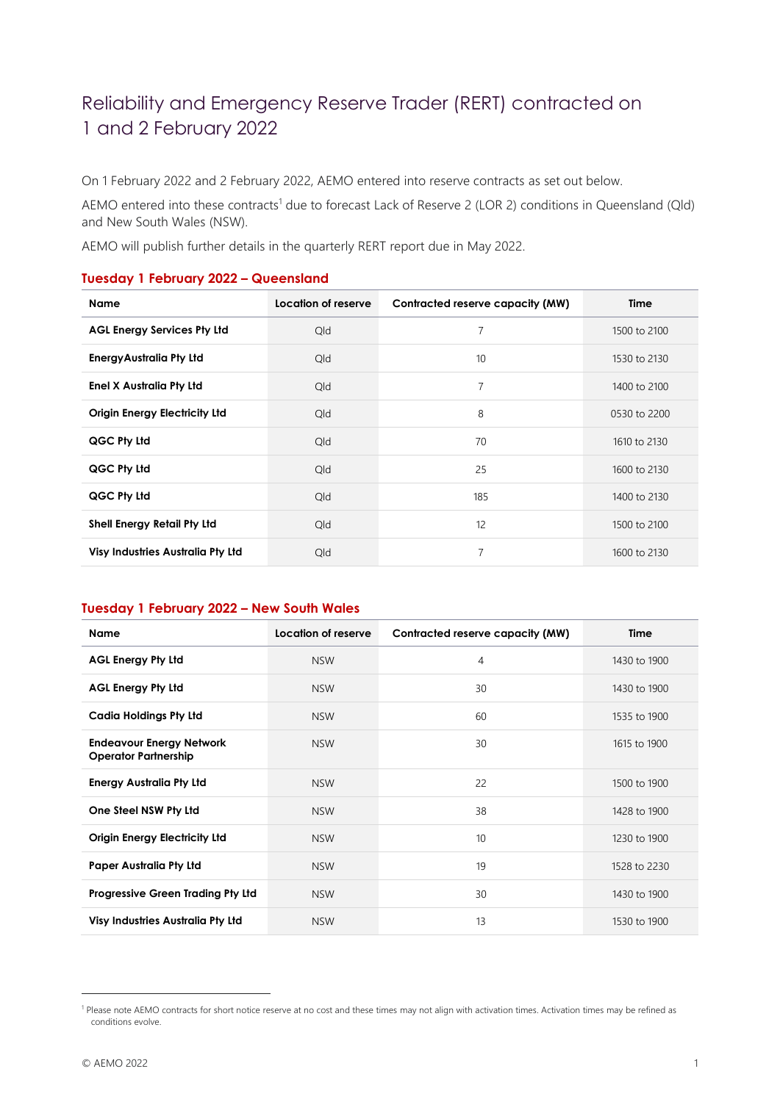## Reliability and Emergency Reserve Trader (RERT) contracted on 1 and 2 February 2022

On 1 February 2022 and 2 February 2022, AEMO entered into reserve contracts as set out below.

AEMO entered into these contracts<sup>1</sup> due to forecast Lack of Reserve 2 (LOR 2) conditions in Queensland (Qld) and New South Wales (NSW).

AEMO will publish further details in the quarterly RERT report due in May 2022.

## **Tuesday 1 February 2022 – Queensland**

| <b>Name</b>                          | Location of reserve | Contracted reserve capacity (MW) | Time         |
|--------------------------------------|---------------------|----------------------------------|--------------|
| <b>AGL Energy Services Pty Ltd</b>   | Qld                 | 7                                | 1500 to 2100 |
| <b>EnergyAustralia Pty Ltd</b>       | Qld                 | 10                               | 1530 to 2130 |
| <b>Enel X Australia Pty Ltd</b>      | Qld                 | 7                                | 1400 to 2100 |
| <b>Origin Energy Electricity Ltd</b> | Qld                 | 8                                | 0530 to 2200 |
| QGC Pty Ltd                          | Qld                 | 70                               | 1610 to 2130 |
| QGC Pty Ltd                          | Qld                 | 25                               | 1600 to 2130 |
| QGC Pty Ltd                          | Qld                 | 185                              | 1400 to 2130 |
| <b>Shell Energy Retail Pty Ltd</b>   | Qld                 | 12                               | 1500 to 2100 |
| Visy Industries Australia Pty Ltd    | Qld                 | 7                                | 1600 to 2130 |

## **Tuesday 1 February 2022 – New South Wales**

| <b>Name</b>                                                    | Location of reserve | Contracted reserve capacity (MW) | Time         |
|----------------------------------------------------------------|---------------------|----------------------------------|--------------|
| <b>AGL Energy Pty Ltd</b>                                      | <b>NSW</b>          | $\overline{4}$                   | 1430 to 1900 |
| <b>AGL Energy Pty Ltd</b>                                      | <b>NSW</b>          | 30                               | 1430 to 1900 |
| <b>Cadia Holdings Pty Ltd</b>                                  | <b>NSW</b>          | 60                               | 1535 to 1900 |
| <b>Endeavour Energy Network</b><br><b>Operator Partnership</b> | <b>NSW</b>          | 30                               | 1615 to 1900 |
| <b>Energy Australia Pty Ltd</b>                                | <b>NSW</b>          | 22                               | 1500 to 1900 |
| One Steel NSW Pty Ltd                                          | <b>NSW</b>          | 38                               | 1428 to 1900 |
| <b>Origin Energy Electricity Ltd</b>                           | <b>NSW</b>          | 10                               | 1230 to 1900 |
| <b>Paper Australia Pty Ltd</b>                                 | <b>NSW</b>          | 19                               | 1528 to 2230 |
| Progressive Green Trading Pty Ltd                              | <b>NSW</b>          | 30                               | 1430 to 1900 |
| <b>Visy Industries Australia Pty Ltd</b>                       | <b>NSW</b>          | 13                               | 1530 to 1900 |

<sup>1</sup> Please note AEMO contracts for short notice reserve at no cost and these times may not align with activation times. Activation times may be refined as conditions evolve.